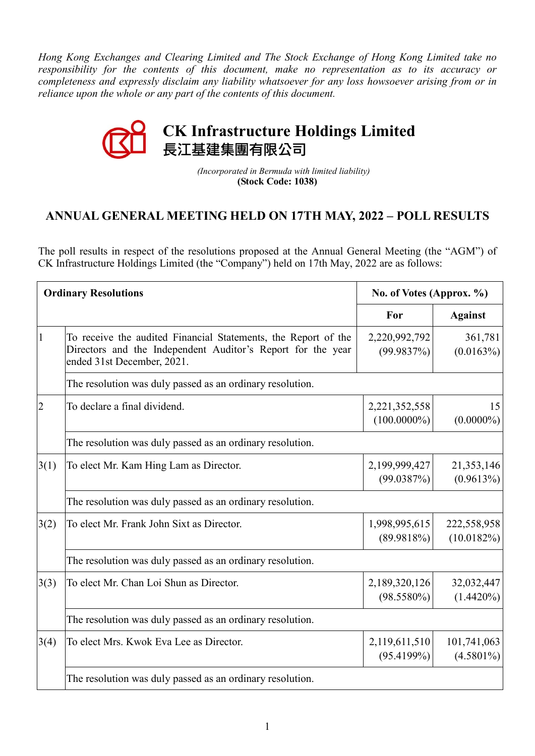*Hong Kong Exchanges and Clearing Limited and The Stock Exchange of Hong Kong Limited take no responsibility for the contents of this document, make no representation as to its accuracy or completeness and expressly disclaim any liability whatsoever for any loss howsoever arising from or in reliance upon the whole or any part of the contents of this document.*



 *(Incorporated in Bermuda with limited liability)*  **(Stock Code: 1038)**

## **ANNUAL GENERAL MEETING HELD ON 17TH MAY, 2022 – POLL RESULTS**

The poll results in respect of the resolutions proposed at the Annual General Meeting (the "AGM") of CK Infrastructure Holdings Limited (the "Company") held on 17th May, 2022 are as follows:

| <b>Ordinary Resolutions</b> |                                                                                                                                                             | No. of Votes (Approx. %)        |                              |  |
|-----------------------------|-------------------------------------------------------------------------------------------------------------------------------------------------------------|---------------------------------|------------------------------|--|
|                             |                                                                                                                                                             | For                             | <b>Against</b>               |  |
| 1                           | To receive the audited Financial Statements, the Report of the<br>Directors and the Independent Auditor's Report for the year<br>ended 31st December, 2021. | 2,220,992,792<br>(99.9837%)     | 361,781<br>(0.0163%)         |  |
|                             | The resolution was duly passed as an ordinary resolution.                                                                                                   |                                 |                              |  |
| $\overline{2}$              | To declare a final dividend.                                                                                                                                | 2,221,352,558<br>$(100.0000\%)$ | 15<br>$(0.0000\%)$           |  |
|                             | The resolution was duly passed as an ordinary resolution.                                                                                                   |                                 |                              |  |
| 3(1)                        | To elect Mr. Kam Hing Lam as Director.                                                                                                                      | 2,199,999,427<br>(99.0387%)     | 21,353,146<br>(0.9613%)      |  |
|                             | The resolution was duly passed as an ordinary resolution.                                                                                                   |                                 |                              |  |
| 3(2)                        | To elect Mr. Frank John Sixt as Director.                                                                                                                   | 1,998,995,615<br>(89.9818%)     | 222,558,958<br>$(10.0182\%)$ |  |
|                             | The resolution was duly passed as an ordinary resolution.                                                                                                   |                                 |                              |  |
| 3(3)                        | To elect Mr. Chan Loi Shun as Director.                                                                                                                     | 2,189,320,126<br>$(98.5580\%)$  | 32,032,447<br>$(1.4420\%)$   |  |
|                             | The resolution was duly passed as an ordinary resolution.                                                                                                   |                                 |                              |  |
| 3(4)                        | To elect Mrs. Kwok Eva Lee as Director.                                                                                                                     | 2,119,611,510<br>(95.4199%)     | 101,741,063<br>$(4.5801\%)$  |  |
|                             | The resolution was duly passed as an ordinary resolution.                                                                                                   |                                 |                              |  |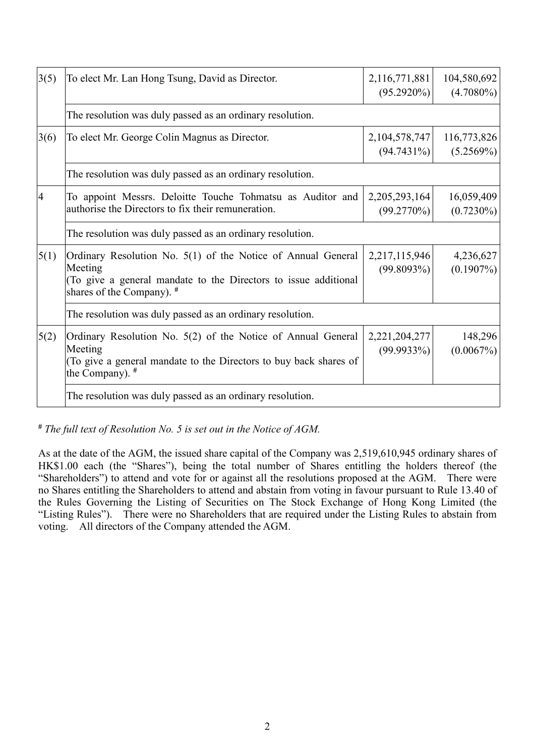| 3(5)           | To elect Mr. Lan Hong Tsung, David as Director.                                                                                                                         | 2,116,771,881<br>$(95.2920\%)$ | 104,580,692<br>$(4.7080\%)$ |  |
|----------------|-------------------------------------------------------------------------------------------------------------------------------------------------------------------------|--------------------------------|-----------------------------|--|
|                | The resolution was duly passed as an ordinary resolution.                                                                                                               |                                |                             |  |
| 3(6)           | To elect Mr. George Colin Magnus as Director.                                                                                                                           | 2,104,578,747<br>$(94.7431\%)$ | 116,773,826<br>(5.2569%)    |  |
|                | The resolution was duly passed as an ordinary resolution.                                                                                                               |                                |                             |  |
| $\overline{4}$ | To appoint Messrs. Deloitte Touche Tohmatsu as Auditor and<br>authorise the Directors to fix their remuneration.                                                        | 2, 205, 293, 164<br>(99.2770%) | 16,059,409<br>$(0.7230\%)$  |  |
|                | The resolution was duly passed as an ordinary resolution.                                                                                                               |                                |                             |  |
| 5(1)           | Ordinary Resolution No. 5(1) of the Notice of Annual General<br>Meeting<br>(To give a general mandate to the Directors to issue additional<br>shares of the Company). # | 2,217,115,946<br>(99.8093%)    | 4,236,627<br>$(0.1907\%)$   |  |
|                | The resolution was duly passed as an ordinary resolution.                                                                                                               |                                |                             |  |
| 5(2)           | Ordinary Resolution No. 5(2) of the Notice of Annual General<br>Meeting<br>(To give a general mandate to the Directors to buy back shares of<br>the Company). $#$       | 2,221,204,277<br>$(99.9933\%)$ | 148,296<br>(0.0067%)        |  |
|                | The resolution was duly passed as an ordinary resolution.                                                                                                               |                                |                             |  |

*# The full text of Resolution No. 5 is set out in the Notice of AGM.*

As at the date of the AGM, the issued share capital of the Company was 2,519,610,945 ordinary shares of HK\$1.00 each (the "Shares"), being the total number of Shares entitling the holders thereof (the "Shareholders") to attend and vote for or against all the resolutions proposed at the AGM. There were no Shares entitling the Shareholders to attend and abstain from voting in favour pursuant to Rule 13.40 of the Rules Governing the Listing of Securities on The Stock Exchange of Hong Kong Limited (the "Listing Rules"). There were no Shareholders that are required under the Listing Rules to abstain from voting. All directors of the Company attended the AGM.